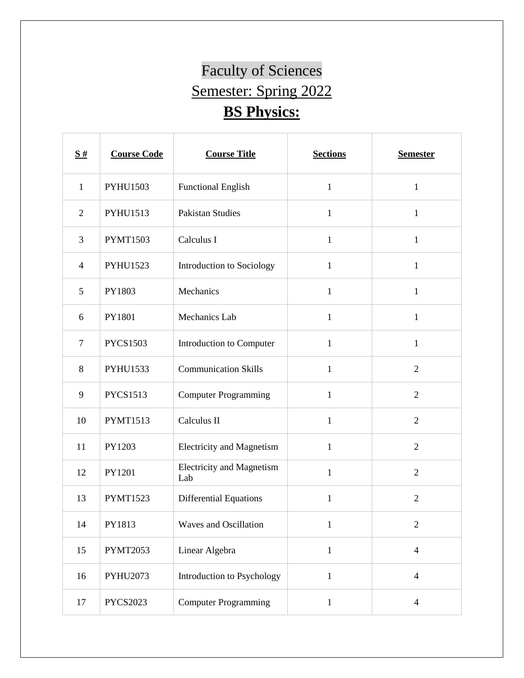## Faculty of Sciences Semester: Spring 2022 **BS Physics:**

| $\frac{S#}{4}$ | <b>Course Code</b> | <b>Course Title</b>                     | <b>Sections</b> | <b>Semester</b> |
|----------------|--------------------|-----------------------------------------|-----------------|-----------------|
| $\mathbf{1}$   | <b>PYHU1503</b>    | <b>Functional English</b>               | $\mathbf{1}$    | $\mathbf{1}$    |
| $\overline{2}$ | PYHU1513           | <b>Pakistan Studies</b>                 | $\mathbf{1}$    | $\mathbf{1}$    |
| 3              | <b>PYMT1503</b>    | Calculus I                              | $\mathbf{1}$    | $\mathbf{1}$    |
| $\overline{4}$ | <b>PYHU1523</b>    | Introduction to Sociology               | $\mathbf{1}$    | $\mathbf{1}$    |
| 5              | PY1803             | Mechanics                               | $\mathbf{1}$    | $\mathbf{1}$    |
| 6              | PY1801             | Mechanics Lab                           | $\mathbf{1}$    | $\mathbf{1}$    |
| $\tau$         | <b>PYCS1503</b>    | Introduction to Computer                | $\mathbf{1}$    | $\mathbf{1}$    |
| 8              | <b>PYHU1533</b>    | <b>Communication Skills</b>             | 1               | $\overline{2}$  |
| 9              | <b>PYCS1513</b>    | <b>Computer Programming</b>             | $\mathbf{1}$    | $\overline{2}$  |
| 10             | <b>PYMT1513</b>    | Calculus II                             | $\mathbf{1}$    | $\overline{2}$  |
| 11             | PY1203             | <b>Electricity and Magnetism</b>        | $\mathbf{1}$    | $\overline{2}$  |
| 12             | PY1201             | <b>Electricity and Magnetism</b><br>Lab | $\mathbf{1}$    | $\overline{2}$  |
| 13             | <b>PYMT1523</b>    | <b>Differential Equations</b>           | $\mathbf{1}$    | $\overline{2}$  |
| 14             | PY1813             | Waves and Oscillation                   | $\mathbf{1}$    |                 |
| 15             | <b>PYMT2053</b>    | Linear Algebra                          | $\mathbf{1}$    | $\overline{4}$  |
| 16             | PYHU2073           | Introduction to Psychology              | $\mathbf{1}$    | $\overline{4}$  |
| 17             | <b>PYCS2023</b>    | <b>Computer Programming</b>             | $\mathbf{1}$    | $\overline{4}$  |